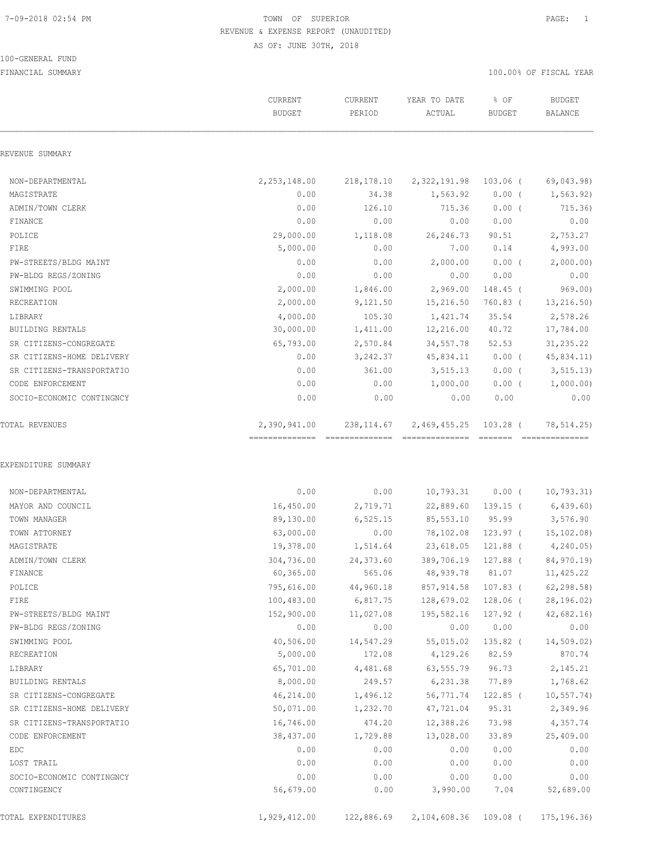#### 100-GENERAL FUND

| REVENUE SUMMARY<br>2,253,148.00<br>NON-DEPARTMENTAL<br>218,178.10<br>2,322,191.98<br>$103.06$ (<br>MAGISTRATE<br>0.00<br>34.38<br>1,563.92<br>$0.00$ (<br>ADMIN/TOWN CLERK<br>0.00<br>126.10<br>715.36<br>$0.00$ (<br>FINANCE<br>0.00<br>0.00<br>0.00<br>0.00<br>29,000.00<br>POLICE<br>1,118.08<br>26, 246.73<br>90.51<br>0.00<br>FIRE<br>5,000.00<br>7.00<br>0.14<br>0.00<br>2,000.00<br>0.00(<br>PW-STREETS/BLDG MAINT<br>0.00<br>0.00<br>0.00<br>0.00<br>0.00<br>PW-BLDG REGS/ZONING<br>2,000.00<br>1,846.00<br>2,969.00<br>148.45 (<br>SWIMMING POOL<br>RECREATION<br>2,000.00<br>9,121.50<br>15,216.50<br>760.83 (<br>4,000.00<br>35.54<br>LIBRARY<br>105.30<br>1,421.74<br>30,000.00<br>BUILDING RENTALS<br>1,411.00<br>12,216.00<br>40.72<br>65,793.00<br>2,570.84<br>52.53<br>SR CITIZENS-CONGREGATE<br>34,557.78<br>SR CITIZENS-HOME DELIVERY<br>0.00<br>3,242.37<br>45,834.11<br>$0.00$ ( | 69,043.98)<br>1, 563.92)<br>715.36)<br>0.00<br>2,753.27<br>4,993.00<br>2,000.00)<br>0.00<br>969.00<br>13,216.50) |
|------------------------------------------------------------------------------------------------------------------------------------------------------------------------------------------------------------------------------------------------------------------------------------------------------------------------------------------------------------------------------------------------------------------------------------------------------------------------------------------------------------------------------------------------------------------------------------------------------------------------------------------------------------------------------------------------------------------------------------------------------------------------------------------------------------------------------------------------------------------------------------------------------|------------------------------------------------------------------------------------------------------------------|
|                                                                                                                                                                                                                                                                                                                                                                                                                                                                                                                                                                                                                                                                                                                                                                                                                                                                                                      |                                                                                                                  |
|                                                                                                                                                                                                                                                                                                                                                                                                                                                                                                                                                                                                                                                                                                                                                                                                                                                                                                      |                                                                                                                  |
|                                                                                                                                                                                                                                                                                                                                                                                                                                                                                                                                                                                                                                                                                                                                                                                                                                                                                                      |                                                                                                                  |
|                                                                                                                                                                                                                                                                                                                                                                                                                                                                                                                                                                                                                                                                                                                                                                                                                                                                                                      |                                                                                                                  |
|                                                                                                                                                                                                                                                                                                                                                                                                                                                                                                                                                                                                                                                                                                                                                                                                                                                                                                      |                                                                                                                  |
|                                                                                                                                                                                                                                                                                                                                                                                                                                                                                                                                                                                                                                                                                                                                                                                                                                                                                                      |                                                                                                                  |
|                                                                                                                                                                                                                                                                                                                                                                                                                                                                                                                                                                                                                                                                                                                                                                                                                                                                                                      |                                                                                                                  |
|                                                                                                                                                                                                                                                                                                                                                                                                                                                                                                                                                                                                                                                                                                                                                                                                                                                                                                      |                                                                                                                  |
|                                                                                                                                                                                                                                                                                                                                                                                                                                                                                                                                                                                                                                                                                                                                                                                                                                                                                                      |                                                                                                                  |
|                                                                                                                                                                                                                                                                                                                                                                                                                                                                                                                                                                                                                                                                                                                                                                                                                                                                                                      |                                                                                                                  |
|                                                                                                                                                                                                                                                                                                                                                                                                                                                                                                                                                                                                                                                                                                                                                                                                                                                                                                      |                                                                                                                  |
|                                                                                                                                                                                                                                                                                                                                                                                                                                                                                                                                                                                                                                                                                                                                                                                                                                                                                                      | 2,578.26                                                                                                         |
|                                                                                                                                                                                                                                                                                                                                                                                                                                                                                                                                                                                                                                                                                                                                                                                                                                                                                                      | 17,784.00                                                                                                        |
|                                                                                                                                                                                                                                                                                                                                                                                                                                                                                                                                                                                                                                                                                                                                                                                                                                                                                                      | 31,235.22                                                                                                        |
|                                                                                                                                                                                                                                                                                                                                                                                                                                                                                                                                                                                                                                                                                                                                                                                                                                                                                                      | 45,834.11)                                                                                                       |
| 0.00<br>3,515.13<br>$0.00$ (<br>SR CITIZENS-TRANSPORTATIO<br>361.00                                                                                                                                                                                                                                                                                                                                                                                                                                                                                                                                                                                                                                                                                                                                                                                                                                  | 3, 515.13)                                                                                                       |
| 0.00<br>CODE ENFORCEMENT<br>0.00<br>1,000.00<br>$0.00$ (                                                                                                                                                                                                                                                                                                                                                                                                                                                                                                                                                                                                                                                                                                                                                                                                                                             | 1,000.00)                                                                                                        |
| 0.00<br>SOCIO-ECONOMIC CONTINGNCY<br>0.00<br>0.00<br>0.00                                                                                                                                                                                                                                                                                                                                                                                                                                                                                                                                                                                                                                                                                                                                                                                                                                            | 0.00                                                                                                             |
| 2,390,941.00<br>238,114.67<br>2,469,455.25 103.28 (<br>TOTAL REVENUES                                                                                                                                                                                                                                                                                                                                                                                                                                                                                                                                                                                                                                                                                                                                                                                                                                | 78,514.25)<br>---------------                                                                                    |
| 0.00<br>NON-DEPARTMENTAL<br>0.00<br>10,793.31<br>$0.00$ (                                                                                                                                                                                                                                                                                                                                                                                                                                                                                                                                                                                                                                                                                                                                                                                                                                            | 10, 793.31)                                                                                                      |
| 16,450.00<br>2,719.71<br>22,889.60 139.15 (<br>MAYOR AND COUNCIL                                                                                                                                                                                                                                                                                                                                                                                                                                                                                                                                                                                                                                                                                                                                                                                                                                     | 6,439.60                                                                                                         |
| TOWN MANAGER<br>89,130.00<br>6,525.15<br>85,553.10<br>95.99                                                                                                                                                                                                                                                                                                                                                                                                                                                                                                                                                                                                                                                                                                                                                                                                                                          | 3,576.90                                                                                                         |
| TOWN ATTORNEY<br>63,000.00<br>0.00<br>78,102.08<br>$123.97$ (                                                                                                                                                                                                                                                                                                                                                                                                                                                                                                                                                                                                                                                                                                                                                                                                                                        | 15, 102.08                                                                                                       |
| MAGISTRATE<br>19,378.00<br>1,514.64<br>23,618.05<br>121.88 (                                                                                                                                                                                                                                                                                                                                                                                                                                                                                                                                                                                                                                                                                                                                                                                                                                         | 4,240.05)                                                                                                        |
| 304,736.00<br>127.88 (<br>ADMIN/TOWN CLERK<br>24,373.60<br>389,706.19                                                                                                                                                                                                                                                                                                                                                                                                                                                                                                                                                                                                                                                                                                                                                                                                                                | 84,970.19)                                                                                                       |
| 565.06<br>FINANCE<br>60,365.00<br>48,939.78 81.07                                                                                                                                                                                                                                                                                                                                                                                                                                                                                                                                                                                                                                                                                                                                                                                                                                                    | 11,425.22                                                                                                        |
| 795,616.00<br>44,960.18<br>857,914.58 107.83 (<br>POLICE                                                                                                                                                                                                                                                                                                                                                                                                                                                                                                                                                                                                                                                                                                                                                                                                                                             | 62, 298.58)                                                                                                      |
| 6,817.75<br>FIRE<br>100,483.00<br>128,679.02 128.06 (                                                                                                                                                                                                                                                                                                                                                                                                                                                                                                                                                                                                                                                                                                                                                                                                                                                | 28, 196.02                                                                                                       |
| PW-STREETS/BLDG MAINT<br>152,900.00<br>11,027.08<br>195,582.16<br>127.92 (                                                                                                                                                                                                                                                                                                                                                                                                                                                                                                                                                                                                                                                                                                                                                                                                                           | 42,682.16                                                                                                        |
| 0.00<br>PW-BLDG REGS/ZONING<br>0.00<br>0.00<br>0.00                                                                                                                                                                                                                                                                                                                                                                                                                                                                                                                                                                                                                                                                                                                                                                                                                                                  | 0.00                                                                                                             |
| SWIMMING POOL<br>40,506.00<br>14,547.29<br>55,015.02<br>135.82 (                                                                                                                                                                                                                                                                                                                                                                                                                                                                                                                                                                                                                                                                                                                                                                                                                                     | 14,509.02)                                                                                                       |
| RECREATION<br>5,000.00<br>172.08<br>4,129.26<br>82.59                                                                                                                                                                                                                                                                                                                                                                                                                                                                                                                                                                                                                                                                                                                                                                                                                                                | 870.74                                                                                                           |
| 65,701.00<br>63,555.79<br>96.73<br>LIBRARY<br>4,481.68                                                                                                                                                                                                                                                                                                                                                                                                                                                                                                                                                                                                                                                                                                                                                                                                                                               | 2,145.21                                                                                                         |
| 77.89<br>BUILDING RENTALS<br>8,000.00<br>249.57<br>6,231.38                                                                                                                                                                                                                                                                                                                                                                                                                                                                                                                                                                                                                                                                                                                                                                                                                                          | 1,768.62                                                                                                         |
| 46,214.00<br>56,771.74<br>122.85 (<br>SR CITIZENS-CONGREGATE<br>1,496.12                                                                                                                                                                                                                                                                                                                                                                                                                                                                                                                                                                                                                                                                                                                                                                                                                             | 10, 557.74)                                                                                                      |
| SR CITIZENS-HOME DELIVERY<br>50,071.00<br>1,232.70<br>47,721.04<br>95.31                                                                                                                                                                                                                                                                                                                                                                                                                                                                                                                                                                                                                                                                                                                                                                                                                             | 2,349.96                                                                                                         |
| 474.20<br>SR CITIZENS-TRANSPORTATIO<br>16,746.00<br>12,388.26<br>73.98                                                                                                                                                                                                                                                                                                                                                                                                                                                                                                                                                                                                                                                                                                                                                                                                                               | 4,357.74                                                                                                         |
| 38,437.00<br>1,729.88<br>13,028.00<br>33.89<br>CODE ENFORCEMENT                                                                                                                                                                                                                                                                                                                                                                                                                                                                                                                                                                                                                                                                                                                                                                                                                                      | 25,409.00                                                                                                        |
| 0.00<br>0.00<br>0.00<br>EDC<br>0.00                                                                                                                                                                                                                                                                                                                                                                                                                                                                                                                                                                                                                                                                                                                                                                                                                                                                  | 0.00                                                                                                             |
| LOST TRAIL<br>0.00<br>0.00<br>0.00<br>0.00                                                                                                                                                                                                                                                                                                                                                                                                                                                                                                                                                                                                                                                                                                                                                                                                                                                           | 0.00                                                                                                             |
| 0.00<br>0.00<br>0.00<br>0.00                                                                                                                                                                                                                                                                                                                                                                                                                                                                                                                                                                                                                                                                                                                                                                                                                                                                         | 0.00                                                                                                             |
| SOCIO-ECONOMIC CONTINGNCY                                                                                                                                                                                                                                                                                                                                                                                                                                                                                                                                                                                                                                                                                                                                                                                                                                                                            | 52,689.00                                                                                                        |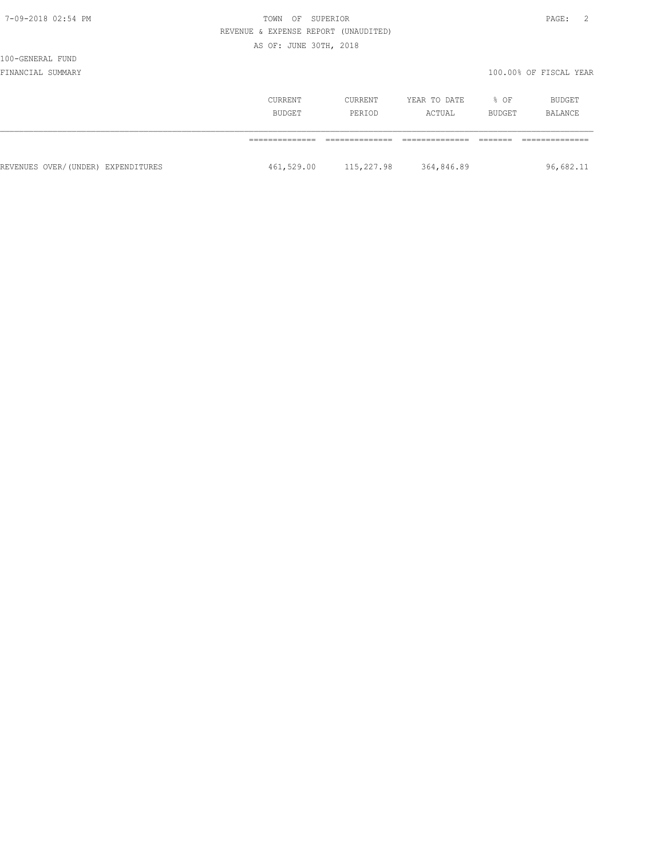| ю<br>т.<br>œ<br>۰. |  |
|--------------------|--|
|--------------------|--|

# 100-GENERAL FUND

|                                    | CURRENT<br><b>BUDGET</b> | CURRENT<br>PERIOD | YEAR TO DATE<br>ACTUAL | % OF<br>BUDGET | BUDGET<br>BALANCE |  |
|------------------------------------|--------------------------|-------------------|------------------------|----------------|-------------------|--|
|                                    |                          |                   |                        |                |                   |  |
| REVENUES OVER/(UNDER) EXPENDITURES | 461,529.00               | 115,227.98        | 364,846.89             |                | 96,682.11         |  |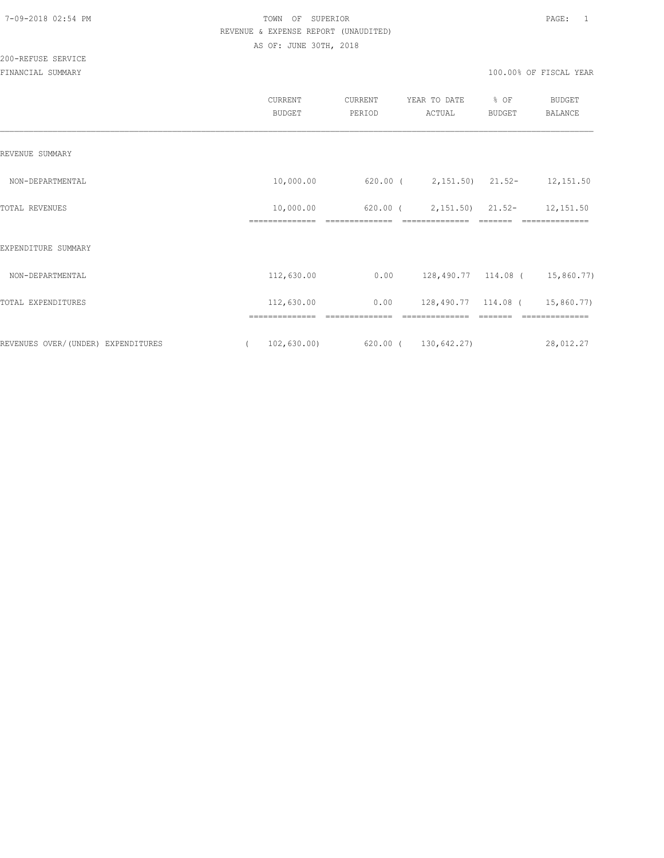200-REFUSE SERVICE

|                                    | CURRENT<br><b>BUDGET</b>                | CURRENT<br>PERIOD | YEAR TO DATE<br>ACTUAL                | % OF<br><b>BUDGET</b> | <b>BUDGET</b><br><b>BALANCE</b> |
|------------------------------------|-----------------------------------------|-------------------|---------------------------------------|-----------------------|---------------------------------|
| REVENUE SUMMARY                    |                                         |                   |                                       |                       |                                 |
| NON-DEPARTMENTAL                   | 10,000.00                               |                   | 620.00 ( 2,151.50) 21.52- 12,151.50   |                       |                                 |
| TOTAL REVENUES                     | 10,000.00                               | 620.00 (          | $2,151.50$ $21.52-$                   |                       | 12,151.50                       |
| EXPENDITURE SUMMARY                |                                         |                   |                                       |                       |                                 |
| NON-DEPARTMENTAL                   | 112,630.00                              |                   | $0.00$ 128,490.77 114.08 ( 15,860.77) |                       |                                 |
| TOTAL EXPENDITURES                 | 112,630.00                              | 0.00              | 128,490.77 114.08 (                   |                       | 15,860.77)                      |
| REVENUES OVER/(UNDER) EXPENDITURES | . ===========<br>102,630.00<br>$\left($ |                   | 620.00 ( 130,642.27)                  |                       | 28,012.27                       |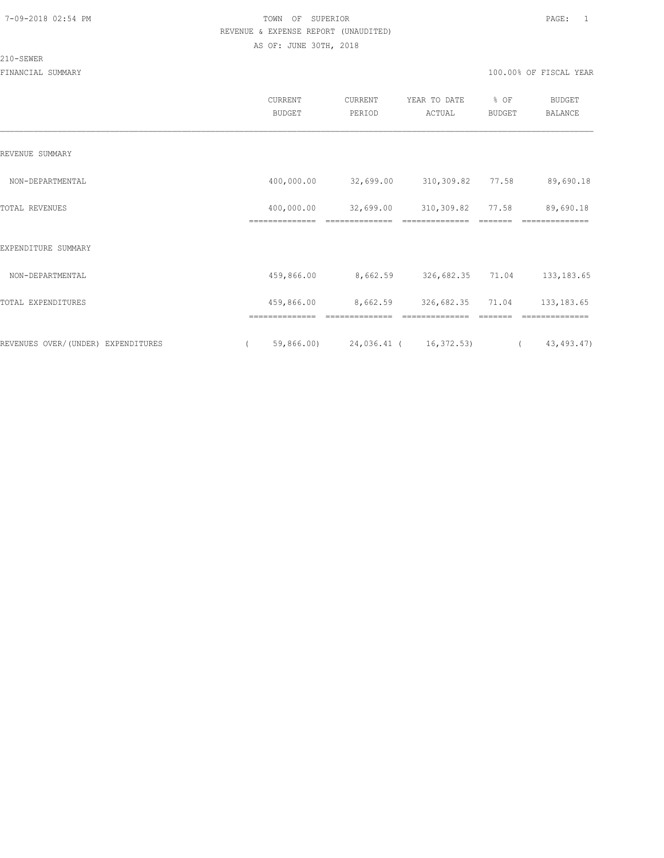#### 210-SEWER

|                                    | CURRENT<br><b>BUDGET</b> | CURRENT<br>PERIOD                 | YEAR TO DATE<br>ACTUAL | % OF<br><b>BUDGET</b> | <b>BUDGET</b><br><b>BALANCE</b> |
|------------------------------------|--------------------------|-----------------------------------|------------------------|-----------------------|---------------------------------|
| REVENUE SUMMARY                    |                          |                                   |                        |                       |                                 |
| NON-DEPARTMENTAL                   | 400,000.00               | 32,699.00                         | 310,309.82 77.58       |                       | 89,690.18                       |
| TOTAL REVENUES                     | 400,000.00               | 32,699.00                         | 310,309.82             | 77.58                 | 89,690.18                       |
| EXPENDITURE SUMMARY                |                          |                                   |                        |                       |                                 |
| NON-DEPARTMENTAL                   | 459,866.00               | 8,662.59                          | 326,682.35 71.04       |                       | 133, 183.65                     |
| TOTAL EXPENDITURES                 | 459,866.00               | 8,662.59                          | 326,682.35             | 71.04                 | 133, 183.65                     |
|                                    | ==============           | --------------                    | --------------         |                       | ==============                  |
| REVENUES OVER/(UNDER) EXPENDITURES | $\sqrt{2}$               | 59,866.00) 24,036.41 ( 16,372.53) |                        | $\left($              | 43,493.47)                      |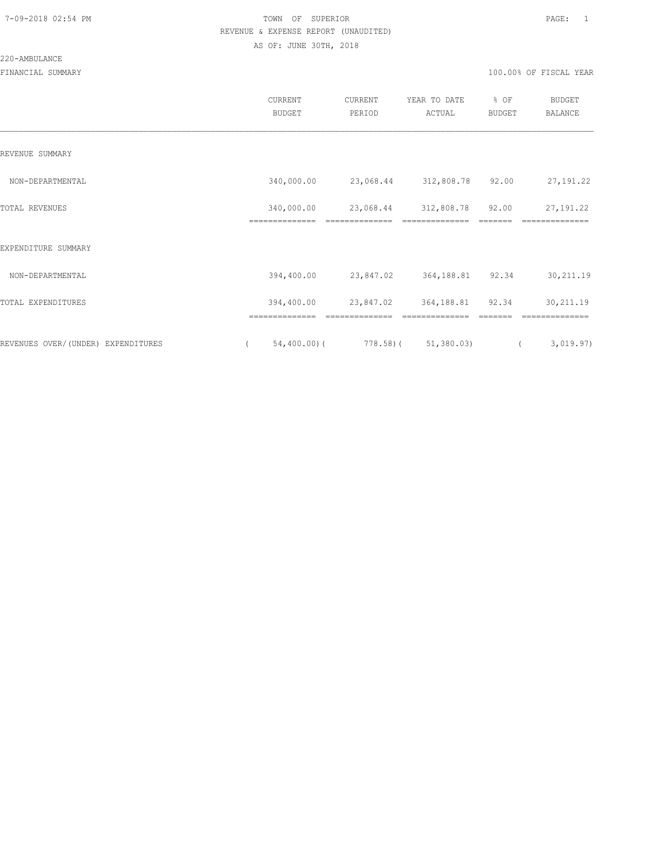220-AMBULANCE

|                                    |          | <b>CURRENT</b><br><b>BUDGET</b> | CURRENT<br>PERIOD | YEAR TO DATE<br>ACTUAL                       | % OF<br>BUDGET | <b>BUDGET</b><br><b>BALANCE</b> |
|------------------------------------|----------|---------------------------------|-------------------|----------------------------------------------|----------------|---------------------------------|
| REVENUE SUMMARY                    |          |                                 |                   |                                              |                |                                 |
| NON-DEPARTMENTAL                   |          | 340,000.00                      |                   | 23,068.44 312,808.78 92.00                   |                | 27, 191. 22                     |
| TOTAL REVENUES                     |          | 340,000.00<br>==============    | ==============    | 23,068.44 312,808.78 92.00<br>-------------- |                | 27, 191.22<br>==============    |
| EXPENDITURE SUMMARY                |          |                                 |                   |                                              |                |                                 |
| NON-DEPARTMENTAL                   |          | 394,400.00                      | 23,847.02         | 364,188.81 92.34                             |                | 30,211.19                       |
| TOTAL EXPENDITURES                 |          | 394,400.00                      | 23,847.02         | 364,188.81                                   | 92.34          | 30,211.19                       |
| REVENUES OVER/(UNDER) EXPENDITURES | $\left($ | $54,400.00)$ (                  |                   | $778.58$ ( $51,380.03$ )                     | $\sqrt{2}$     | 3,019.97)                       |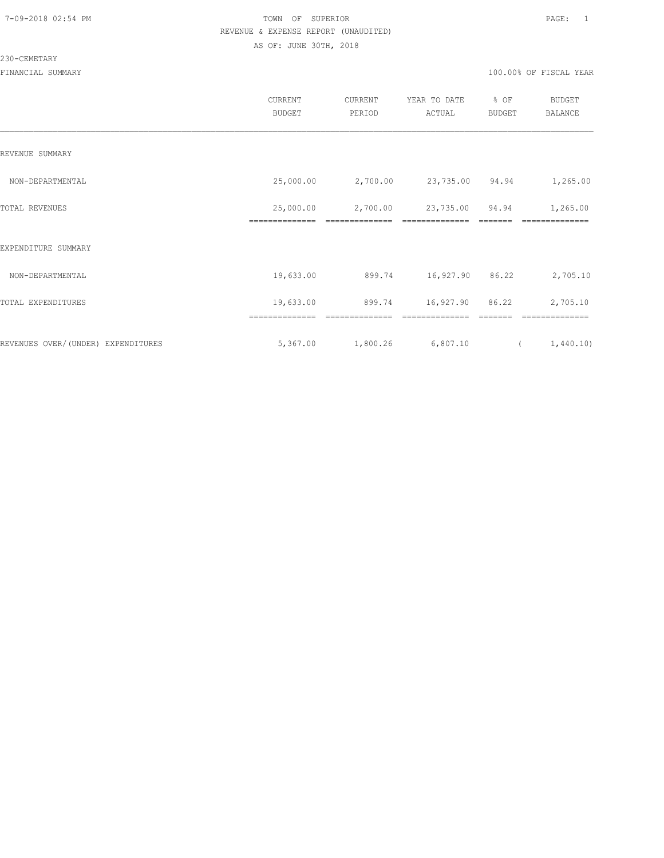#### 230-CEMETARY

|                                     | CURRENT<br><b>BUDGET</b> | CURRENT<br>PERIOD | YEAR TO DATE<br>ACTUAL | % OF<br>BUDGET | <b>BUDGET</b><br>BALANCE |
|-------------------------------------|--------------------------|-------------------|------------------------|----------------|--------------------------|
| REVENUE SUMMARY                     |                          |                   |                        |                |                          |
| NON-DEPARTMENTAL                    | 25,000.00                | 2,700.00          | 23,735.00 94.94        |                | 1,265.00                 |
| TOTAL REVENUES                      | 25,000.00                | 2,700.00          | 23,735.00              | 94.94          | 1,265.00                 |
| EXPENDITURE SUMMARY                 |                          |                   |                        |                |                          |
| NON-DEPARTMENTAL                    | 19,633.00                | 899.74            | 16,927.90 86.22        |                | 2,705.10                 |
| TOTAL EXPENDITURES                  | 19,633.00                | 899.74            | 16,927.90              | 86.22          | 2,705.10                 |
|                                     | ==============           | ===========       |                        |                |                          |
| REVENUES OVER/ (UNDER) EXPENDITURES | 5,367.00                 | 1,800.26          | 6,807.10               |                | 1,440.10)<br>$\sqrt{2}$  |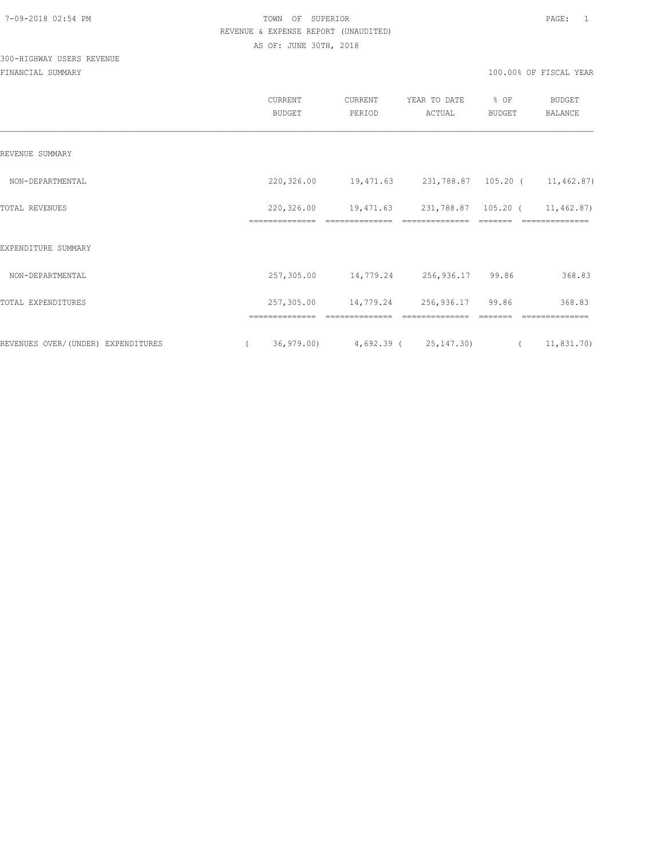# 300-HIGHWAY USERS REVENUE

|                                    | CURRENT<br><b>BUDGET</b>     | CURRENT<br>PERIOD                        | YEAR TO DATE<br>ACTUAL                | % OF<br><b>BUDGET</b> | BUDGET<br><b>BALANCE</b>     |
|------------------------------------|------------------------------|------------------------------------------|---------------------------------------|-----------------------|------------------------------|
| REVENUE SUMMARY                    |                              |                                          |                                       |                       |                              |
| NON-DEPARTMENTAL                   | 220,326.00                   | 19,471.63 231,788.87 105.20 ( 11,462.87) |                                       |                       |                              |
| TOTAL REVENUES                     | 220,326.00<br>============== | 19,471.63<br>22222222222222              | 231,788.87 105.20 (<br>============== |                       | 11,462.87)<br>-------------- |
| EXPENDITURE SUMMARY                |                              |                                          |                                       |                       |                              |
| NON-DEPARTMENTAL                   | 257,305.00                   | 14,779.24 256,936.17 99.86               |                                       |                       | 368.83                       |
| TOTAL EXPENDITURES                 | 257,305.00                   | 14,779.24 256,936.17 99.86               |                                       |                       | 368.83                       |
|                                    | ==============               |                                          |                                       |                       |                              |
| REVENUES OVER/(UNDER) EXPENDITURES | $\left($                     | $36,979.00$ $4,692.39$ ( $25,147.30$ (   |                                       |                       | 11,831.70)                   |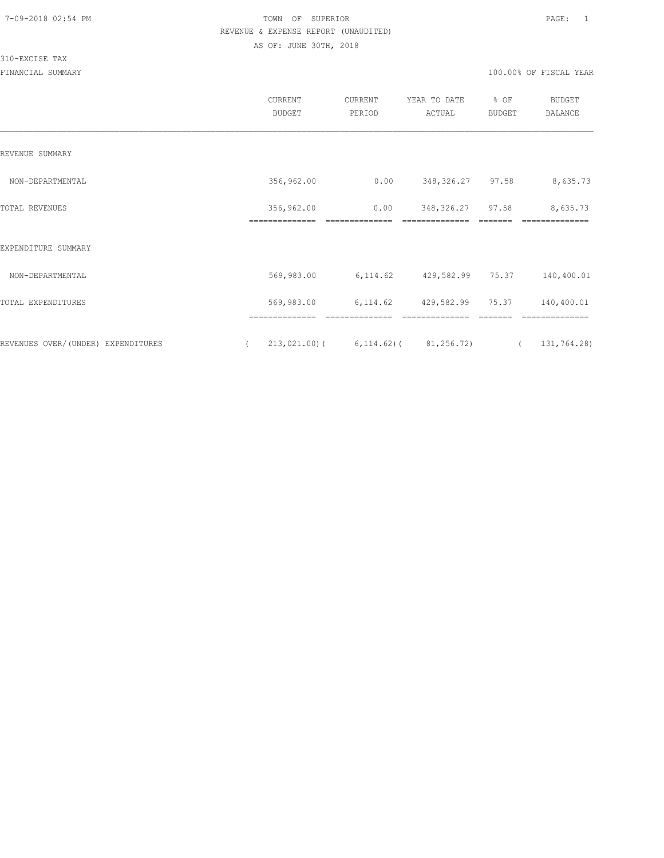### 310-EXCISE TAX

|                                    | CURRENT<br><b>BUDGET</b>     | CURRENT<br>PERIOD                       | YEAR TO DATE<br>ACTUAL              | % OF<br><b>BUDGET</b> | <b>BUDGET</b><br>BALANCE   |
|------------------------------------|------------------------------|-----------------------------------------|-------------------------------------|-----------------------|----------------------------|
| REVENUE SUMMARY                    |                              |                                         |                                     |                       |                            |
| NON-DEPARTMENTAL                   | 356,962.00                   | 0.00                                    | 348, 326. 27 97. 58                 |                       | 8,635.73                   |
| TOTAL REVENUES                     | 356,962.00<br>============== | 0.00                                    | 348, 326.27 97.58<br>============== |                       | 8,635.73<br>============== |
| EXPENDITURE SUMMARY                |                              |                                         |                                     |                       |                            |
| NON-DEPARTMENTAL                   | 569,983.00                   | 6,114.62                                | 429,582.99 75.37                    |                       | 140,400.01                 |
| TOTAL EXPENDITURES                 | 569,983.00                   | 6,114.62                                | 429,582.99                          | 75.37                 | 140,400.01                 |
| REVENUES OVER/(UNDER) EXPENDITURES | $\left($                     | $213,021.00$ ( 6,114.62) ( 81,256.72) ( |                                     |                       | 131,764.28)                |
|                                    |                              |                                         |                                     |                       |                            |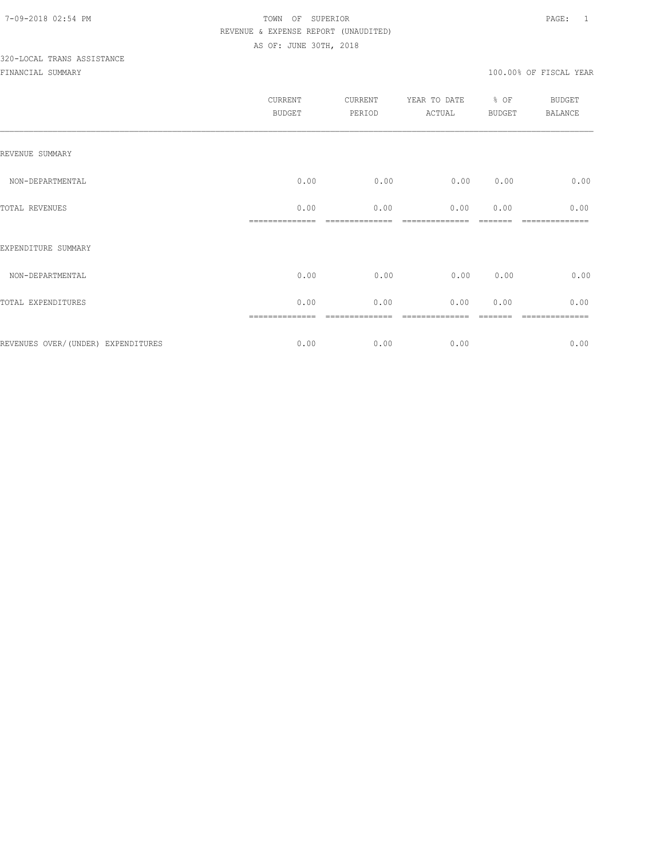# 320-LOCAL TRANS ASSISTANCE

|                                    | <b>CURRENT</b><br><b>BUDGET</b> | CURRENT<br>PERIOD | YEAR TO DATE<br>ACTUAL | % OF<br><b>BUDGET</b> | BUDGET<br><b>BALANCE</b> |
|------------------------------------|---------------------------------|-------------------|------------------------|-----------------------|--------------------------|
| REVENUE SUMMARY                    |                                 |                   |                        |                       |                          |
| NON-DEPARTMENTAL                   | 0.00                            | 0.00              | 0.00                   | 0.00                  | 0.00                     |
| TOTAL REVENUES                     | 0.00                            | 0.00              | 0.00                   | 0.00                  | 0.00                     |
| EXPENDITURE SUMMARY                |                                 |                   |                        |                       |                          |
| NON-DEPARTMENTAL                   | 0.00                            | 0.00              | 0.00                   | 0.00                  | 0.00                     |
| TOTAL EXPENDITURES                 | 0.00                            | 0.00              | 0.00                   | 0.00                  | 0.00                     |
| REVENUES OVER/(UNDER) EXPENDITURES | 0.00                            | 0.00              | 0.00                   |                       | =======<br>0.00          |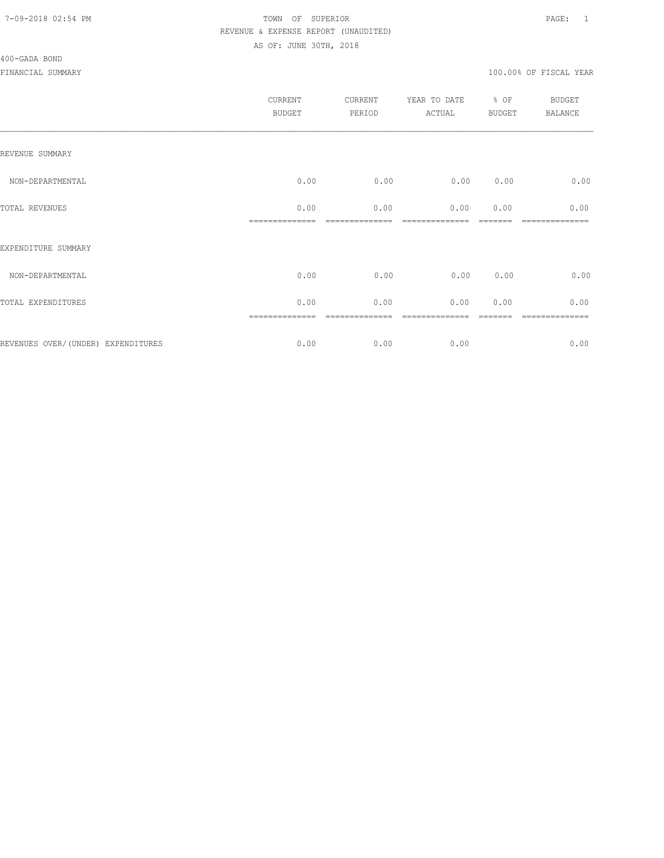#### 400-GADA BOND

| CURRENT<br><b>BUDGET</b> | CURRENT<br>PERIOD | YEAR TO DATE<br>ACTUAL | BUDGET | <b>BUDGET</b><br>BALANCE |
|--------------------------|-------------------|------------------------|--------|--------------------------|
|                          |                   |                        |        |                          |
| 0.00                     | 0.00              | 0.00                   | 0.00   | 0.00                     |
| 0.00                     | 0.00              | 0.00                   | 0.00   | 0.00                     |
|                          |                   |                        |        |                          |
| 0.00                     | 0.00              | 0.00                   | 0.00   | 0.00                     |
| 0.00                     | 0.00              | 0.00                   | 0.00   | 0.00                     |
| 0.00                     | 0.00              | 0.00                   |        | -----------<br>0.00      |
|                          | ==============    |                        |        | % OF                     |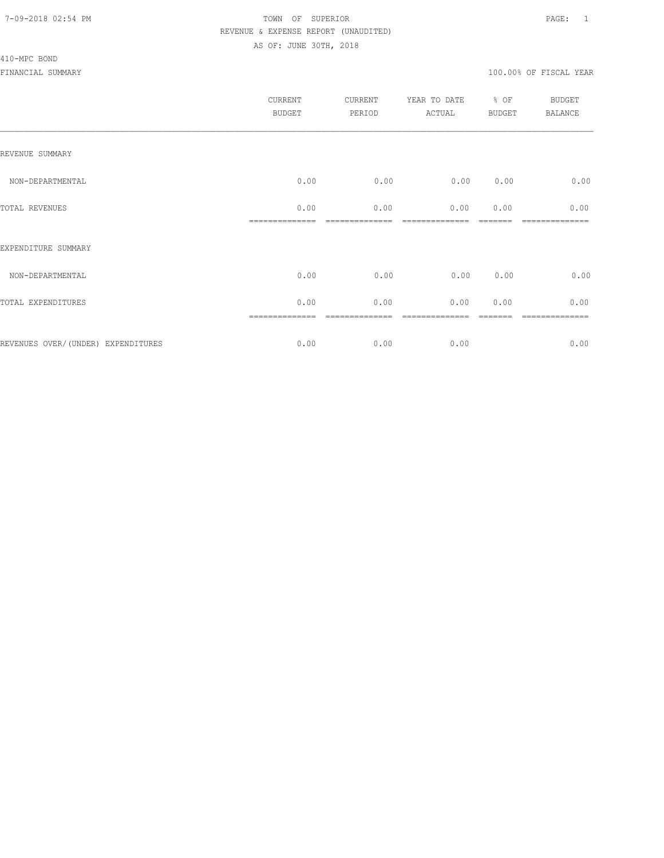#### 410-MPC BOND

|                                     | CURRENT<br><b>BUDGET</b> | CURRENT<br>PERIOD | YEAR TO DATE % OF<br>ACTUAL | <b>BUDGET</b> | <b>BUDGET</b><br><b>BALANCE</b> |
|-------------------------------------|--------------------------|-------------------|-----------------------------|---------------|---------------------------------|
| REVENUE SUMMARY                     |                          |                   |                             |               |                                 |
| NON-DEPARTMENTAL                    | 0.00                     | 0.00              | 0.00                        | 0.00          | 0.00                            |
| TOTAL REVENUES                      | 0.00                     | 0.00              | 0.00                        | 0.00          | 0.00                            |
| EXPENDITURE SUMMARY                 |                          |                   |                             |               |                                 |
| NON-DEPARTMENTAL                    | 0.00                     | 0.00              | 0.00                        | 0.00          | 0.00                            |
| TOTAL EXPENDITURES                  | 0.00                     | 0.00              | 0.00                        | 0.00          | 0.00                            |
|                                     | ==============           | ----------        |                             |               | ============                    |
| REVENUES OVER/ (UNDER) EXPENDITURES | 0.00                     | 0.00              | 0.00                        |               | 0.00                            |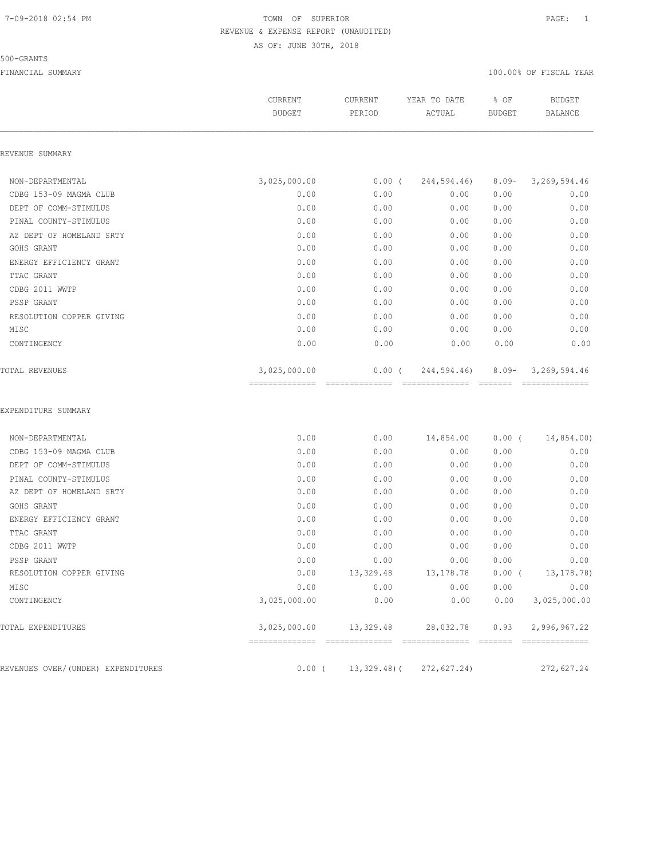#### 500-GRANTS

|                                    | CURRENT<br><b>BUDGET</b>       | CURRENT<br>PERIOD           | YEAR TO DATE<br>ACTUAL         | % OF<br><b>BUDGET</b> | <b>BUDGET</b><br><b>BALANCE</b> |
|------------------------------------|--------------------------------|-----------------------------|--------------------------------|-----------------------|---------------------------------|
| REVENUE SUMMARY                    |                                |                             |                                |                       |                                 |
| NON-DEPARTMENTAL                   | 3,025,000.00                   | $0.00$ (                    | 244,594.46)                    | $8.09 -$              | 3, 269, 594.46                  |
| CDBG 153-09 MAGMA CLUB             | 0.00                           | 0.00                        | 0.00                           | 0.00                  | 0.00                            |
| DEPT OF COMM-STIMULUS              | 0.00                           | 0.00                        | 0.00                           | 0.00                  | 0.00                            |
| PINAL COUNTY-STIMULUS              | 0.00                           | 0.00                        | 0.00                           | 0.00                  | 0.00                            |
| AZ DEPT OF HOMELAND SRTY           | 0.00                           | 0.00                        | 0.00                           | 0.00                  | 0.00                            |
| GOHS GRANT                         | 0.00                           | 0.00                        | 0.00                           | 0.00                  | 0.00                            |
| ENERGY EFFICIENCY GRANT            | 0.00                           | 0.00                        | 0.00                           | 0.00                  | 0.00                            |
| TTAC GRANT                         | 0.00                           | 0.00                        | 0.00                           | 0.00                  | 0.00                            |
| CDBG 2011 WWTP                     | 0.00                           | 0.00                        | 0.00                           | 0.00                  | 0.00                            |
| PSSP GRANT                         | 0.00                           | 0.00                        | 0.00                           | 0.00                  | 0.00                            |
| RESOLUTION COPPER GIVING           | 0.00                           | 0.00                        | 0.00                           | 0.00                  | 0.00                            |
| MISC                               | 0.00                           | 0.00                        | 0.00                           | 0.00                  | 0.00                            |
| CONTINGENCY                        | 0.00                           | 0.00                        | 0.00                           | 0.00                  | 0.00                            |
| TOTAL REVENUES                     | 3,025,000.00<br>-------------- | $0.00$ (<br>--------------- | 244,594.46)<br>--------------- | $8.09 -$<br>--------  | 3,269,594.46<br>==============  |
| EXPENDITURE SUMMARY                |                                |                             |                                |                       |                                 |
| NON-DEPARTMENTAL                   | 0.00                           | 0.00                        | 14,854.00                      | $0.00$ (              | 14,854.00)                      |
| CDBG 153-09 MAGMA CLUB             | 0.00                           | 0.00                        | 0.00                           | 0.00                  | 0.00                            |
| DEPT OF COMM-STIMULUS              | 0.00                           | 0.00                        | 0.00                           | 0.00                  | 0.00                            |
| PINAL COUNTY-STIMULUS              | 0.00                           | 0.00                        | 0.00                           | 0.00                  | 0.00                            |
| AZ DEPT OF HOMELAND SRTY           | 0.00                           | 0.00                        | 0.00                           | 0.00                  | 0.00                            |
| GOHS GRANT                         | 0.00                           | 0.00                        | 0.00                           | 0.00                  | 0.00                            |
| ENERGY EFFICIENCY GRANT            | 0.00                           | 0.00                        | 0.00                           | 0.00                  | 0.00                            |
| TTAC GRANT                         | 0.00                           | 0.00                        | 0.00                           | 0.00                  | 0.00                            |
| CDBG 2011 WWTP                     | 0.00                           | 0.00                        | 0.00                           | 0.00                  | 0.00                            |
| PSSP GRANT                         | 0.00                           | 0.00                        | 0.00                           | 0.00                  | 0.00                            |
| RESOLUTION COPPER GIVING           | 0.00                           | 13,329.48                   | 13,178.78                      | $0.00$ (              | 13,178.78)                      |
| MISC                               | 0.00                           | 0.00                        | 0.00                           | 0.00                  | 0.00                            |
| CONTINGENCY                        | 3,025,000.00                   | 0.00                        | 0.00                           | 0.00                  | 3,025,000.00                    |
| TOTAL EXPENDITURES                 | 3,025,000.00                   | 13,329.48                   | 28,032.78                      | 0.93                  | 2,996,967.22                    |
| REVENUES OVER/(UNDER) EXPENDITURES | $0.00$ (                       | $13,329.48$ ) (             | 272,627.24)                    |                       | 272,627.24                      |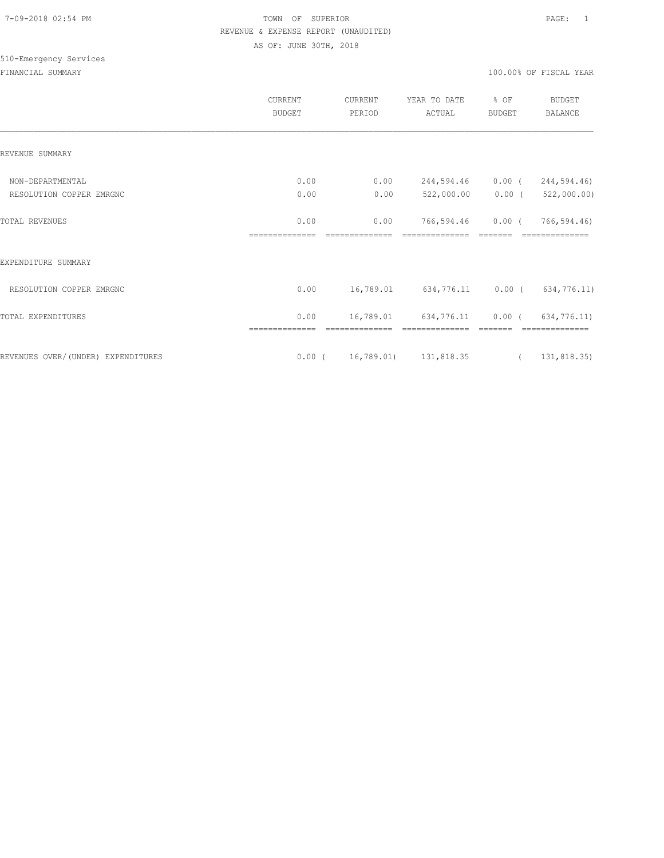# 510-Emergency Services

|                                    | <b>CURRENT</b><br><b>BUDGET</b> | <b>CURRENT</b><br>PERIOD | YEAR TO DATE<br>ACTUAL          | % OF<br><b>BUDGET</b> | <b>BUDGET</b><br><b>BALANCE</b> |
|------------------------------------|---------------------------------|--------------------------|---------------------------------|-----------------------|---------------------------------|
| REVENUE SUMMARY                    |                                 |                          |                                 |                       |                                 |
| NON-DEPARTMENTAL                   | 0.00                            | 0.00                     | 244,594.46                      | $0.00$ (              | 244,594.46)                     |
| RESOLUTION COPPER EMRGNC           | 0.00                            | 0.00                     | 522,000.00                      | $0.00$ (              | 522,000.00)                     |
| <b>TOTAL REVENUES</b>              | 0.00<br>==============          | 0.00                     | 766,594.46                      | $0.00$ (              | 766,594.46)                     |
| EXPENDITURE SUMMARY                |                                 |                          |                                 |                       |                                 |
| RESOLUTION COPPER EMRGNC           | 0.00                            |                          | 16,789.01 634,776.11 0.00 (     |                       | 634,776.11)                     |
| TOTAL EXPENDITURES                 | 0.00                            |                          | 16,789.01 634,776.11            | $0.00$ (              | 634,776.11)                     |
| REVENUES OVER/(UNDER) EXPENDITURES |                                 |                          | $0.00$ ( $16,789.01$ 131,818.35 |                       | (131, 818.35)                   |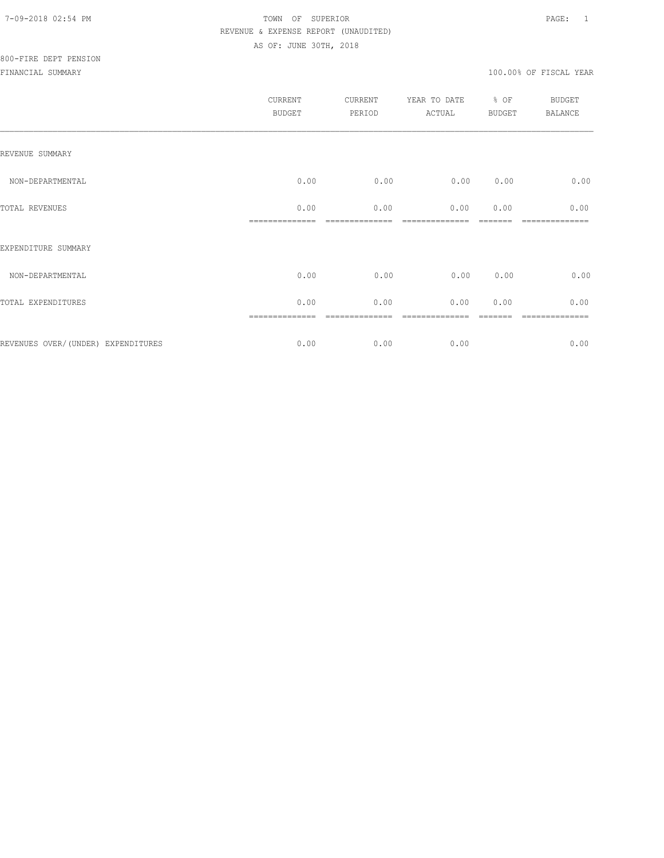|                                    | <b>CURRENT</b><br><b>BUDGET</b> | CURRENT<br>PERIOD | YEAR TO DATE<br>ACTUAL | % OF<br><b>BUDGET</b> | BUDGET<br><b>BALANCE</b> |
|------------------------------------|---------------------------------|-------------------|------------------------|-----------------------|--------------------------|
| REVENUE SUMMARY                    |                                 |                   |                        |                       |                          |
| NON-DEPARTMENTAL                   | 0.00                            | 0.00              | 0.00                   | 0.00                  | 0.00                     |
| TOTAL REVENUES                     | 0.00                            | 0.00              | 0.00                   | 0.00                  | 0.00<br>----             |
| EXPENDITURE SUMMARY                |                                 |                   |                        |                       |                          |
| NON-DEPARTMENTAL                   | 0.00                            | 0.00              | 0.00                   | 0.00                  | 0.00                     |
| TOTAL EXPENDITURES                 | 0.00                            | 0.00              | 0.00                   | 0.00                  | 0.00                     |
|                                    |                                 |                   |                        |                       |                          |
| REVENUES OVER/(UNDER) EXPENDITURES | 0.00                            | 0.00              | 0.00                   |                       | 0.00                     |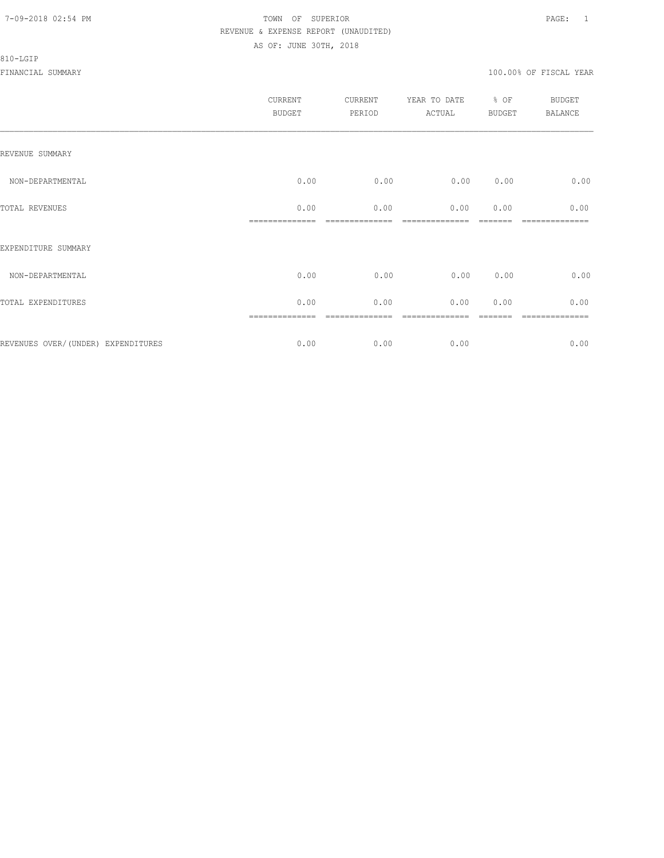#### 810-LGIP

|                                     | CURRENT<br><b>BUDGET</b> | CURRENT<br>PERIOD | YEAR TO DATE % OF<br>ACTUAL | <b>BUDGET</b> | <b>BUDGET</b><br><b>BALANCE</b> |
|-------------------------------------|--------------------------|-------------------|-----------------------------|---------------|---------------------------------|
| REVENUE SUMMARY                     |                          |                   |                             |               |                                 |
| NON-DEPARTMENTAL                    | 0.00                     | 0.00              | 0.00                        | 0.00          | 0.00                            |
| TOTAL REVENUES                      | 0.00                     | 0.00              | 0.00                        | 0.00          | 0.00                            |
| EXPENDITURE SUMMARY                 |                          |                   |                             |               |                                 |
| NON-DEPARTMENTAL                    | 0.00                     | 0.00              | 0.00                        | 0.00          | 0.00                            |
| TOTAL EXPENDITURES                  | 0.00                     | 0.00              | 0.00                        | 0.00          | 0.00                            |
|                                     | ==============           | ----------        |                             |               | ============                    |
| REVENUES OVER/ (UNDER) EXPENDITURES | 0.00                     | 0.00              | 0.00                        |               | 0.00                            |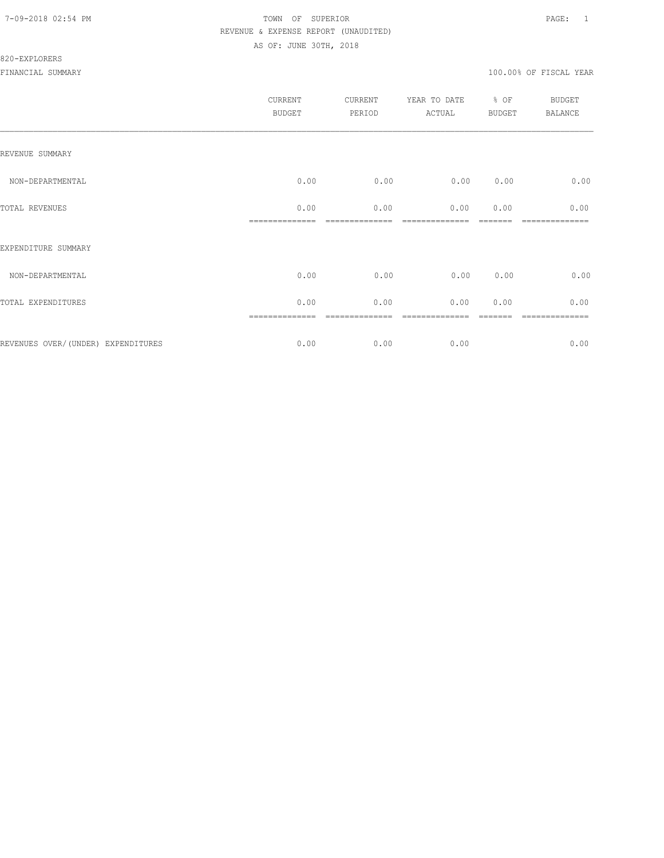#### 820-EXPLORERS

|                                     | CURRENT<br><b>BUDGET</b> | CURRENT<br>PERIOD | YEAR TO DATE<br>ACTUAL | % OF<br>BUDGET | <b>BUDGET</b><br>BALANCE |
|-------------------------------------|--------------------------|-------------------|------------------------|----------------|--------------------------|
| REVENUE SUMMARY                     |                          |                   |                        |                |                          |
| NON-DEPARTMENTAL                    | 0.00                     | 0.00              | 0.00                   | 0.00           | 0.00                     |
| TOTAL REVENUES                      | 0.00                     | 0.00              | 0.00                   | 0.00           | 0.00                     |
| EXPENDITURE SUMMARY                 |                          |                   |                        |                |                          |
| NON-DEPARTMENTAL                    | 0.00                     | 0.00              | 0.00                   | 0.00           | 0.00                     |
| TOTAL EXPENDITURES                  | 0.00                     | 0.00              | 0.00                   | 0.00           | 0.00                     |
| REVENUES OVER/ (UNDER) EXPENDITURES | ==============<br>0.00   | 0.00              | 0.00                   |                | -----------<br>0.00      |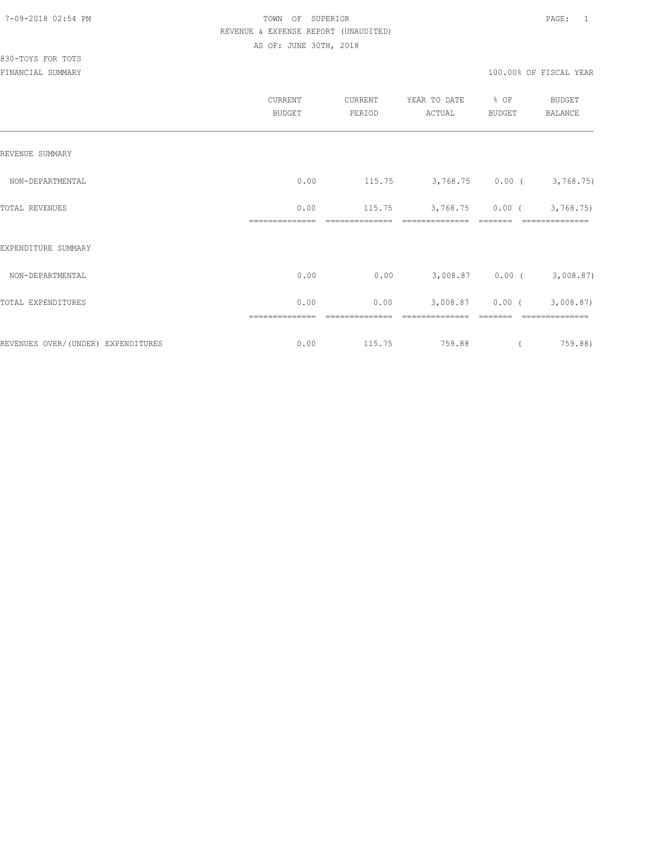# 830-TOYS FOR TOTS

|                                     | CURRENT<br><b>BUDGET</b> | CURRENT<br>PERIOD | YEAR TO DATE<br>ACTUAL | % OF<br>BUDGET | <b>BUDGET</b><br>BALANCE    |
|-------------------------------------|--------------------------|-------------------|------------------------|----------------|-----------------------------|
| REVENUE SUMMARY                     |                          |                   |                        |                |                             |
| NON-DEPARTMENTAL                    | 0.00                     | 115.75            |                        |                | $3,768.75$ 0.00 ( 3,768.75) |
| TOTAL REVENUES                      | 0.00                     | 115.75            | 3,768.75               | $0.00$ (       | 3,768.75                    |
| EXPENDITURE SUMMARY                 |                          |                   |                        |                |                             |
| NON-DEPARTMENTAL                    | 0.00                     | 0.00              |                        |                | 3,008.87 0.00 (3,008.87)    |
| TOTAL EXPENDITURES                  | 0.00                     | 0.00              | 3,008.87               | $0.00$ (       | 3,008.87)                   |
|                                     | ==============           | =========         |                        |                |                             |
| REVENUES OVER/ (UNDER) EXPENDITURES | 0.00                     | 115.75            | 759.88                 |                | 759.88)                     |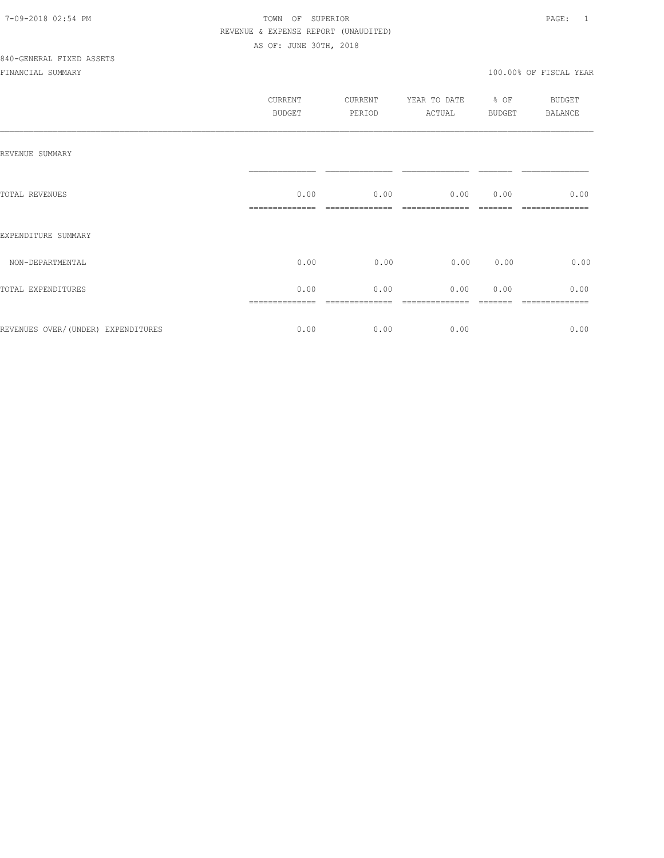|                                     | CURRENT<br>BUDGET | CURRENT<br>PERIOD | YEAR TO DATE<br>ACTUAL | $%$ OF<br>BUDGET | BUDGET<br>BALANCE |
|-------------------------------------|-------------------|-------------------|------------------------|------------------|-------------------|
| REVENUE SUMMARY                     |                   |                   |                        |                  |                   |
| TOTAL REVENUES                      | 0.00              | 0.00              | 0.00                   | 0.00             | 0.00              |
| EXPENDITURE SUMMARY                 |                   |                   |                        |                  |                   |
| NON-DEPARTMENTAL                    | 0.00              | 0.00              | 0.00 0.00              |                  | 0.00              |
| TOTAL EXPENDITURES                  | 0.00              | 0.00              | 0.00                   | 0.00             | 0.00              |
| REVENUES OVER/ (UNDER) EXPENDITURES | 0.00              | 0.00              | 0.00                   |                  | 0.00              |